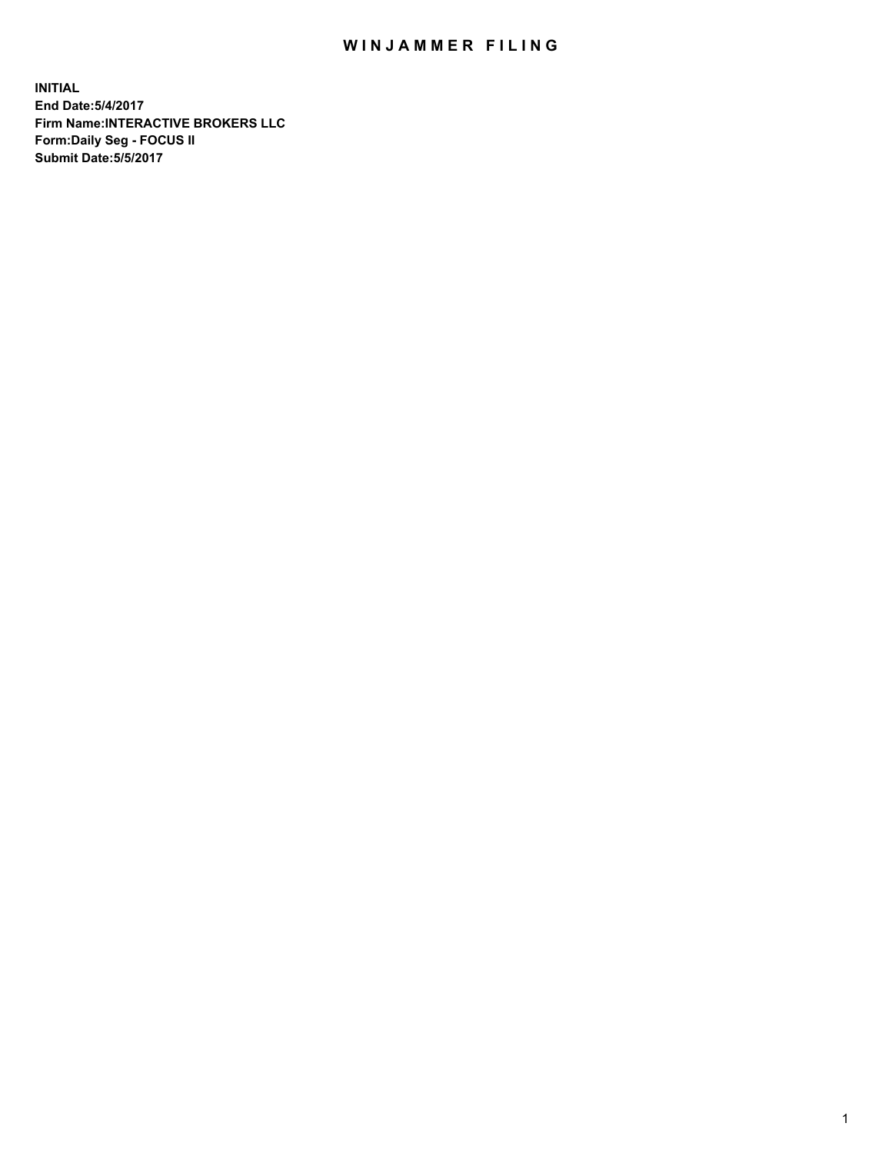## WIN JAMMER FILING

**INITIAL End Date:5/4/2017 Firm Name:INTERACTIVE BROKERS LLC Form:Daily Seg - FOCUS II Submit Date:5/5/2017**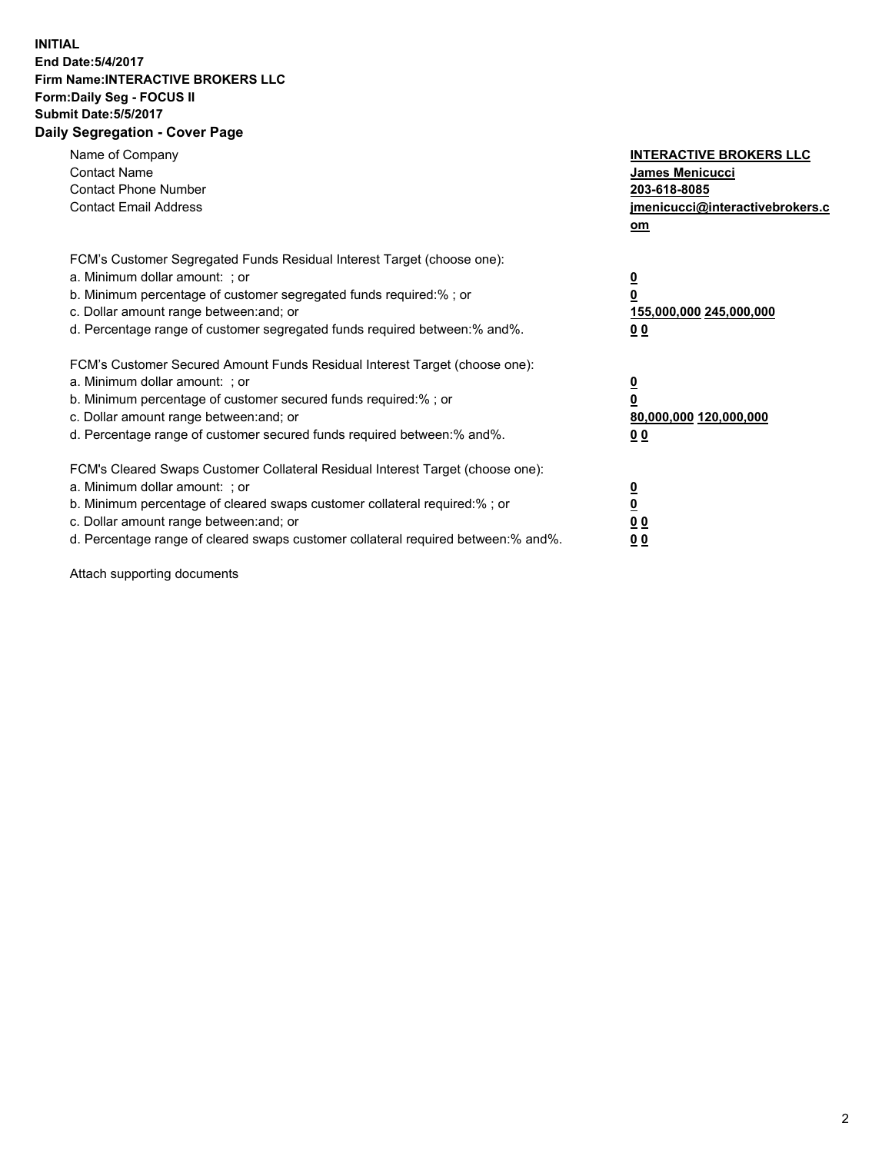## **INITIAL End Date:5/4/2017 Firm Name:INTERACTIVE BROKERS LLC Form:Daily Seg - FOCUS II Submit Date:5/5/2017 Daily Segregation - Cover Page**

| Name of Company<br><b>Contact Name</b><br><b>Contact Phone Number</b><br><b>Contact Email Address</b>                                                                                                                                                                                                                          | <b>INTERACTIVE BROKERS LLC</b><br>James Menicucci<br>203-618-8085<br>jmenicucci@interactivebrokers.c<br>om |
|--------------------------------------------------------------------------------------------------------------------------------------------------------------------------------------------------------------------------------------------------------------------------------------------------------------------------------|------------------------------------------------------------------------------------------------------------|
| FCM's Customer Segregated Funds Residual Interest Target (choose one):<br>a. Minimum dollar amount: ; or<br>b. Minimum percentage of customer segregated funds required:% ; or<br>c. Dollar amount range between: and; or<br>d. Percentage range of customer segregated funds required between:% and%.                         | $\overline{\mathbf{0}}$<br>0<br>155,000,000 245,000,000<br>0 <sub>0</sub>                                  |
| FCM's Customer Secured Amount Funds Residual Interest Target (choose one):<br>a. Minimum dollar amount: ; or<br>b. Minimum percentage of customer secured funds required:%; or<br>c. Dollar amount range between: and; or<br>d. Percentage range of customer secured funds required between: % and %.                          | $\overline{\mathbf{0}}$<br>0<br>80,000,000 120,000,000<br>0 <sub>0</sub>                                   |
| FCM's Cleared Swaps Customer Collateral Residual Interest Target (choose one):<br>a. Minimum dollar amount: ; or<br>b. Minimum percentage of cleared swaps customer collateral required:% ; or<br>c. Dollar amount range between: and; or<br>d. Percentage range of cleared swaps customer collateral required between:% and%. | $\overline{\mathbf{0}}$<br>$\overline{\mathbf{0}}$<br>0 <sub>0</sub><br>0 <sub>0</sub>                     |

Attach supporting documents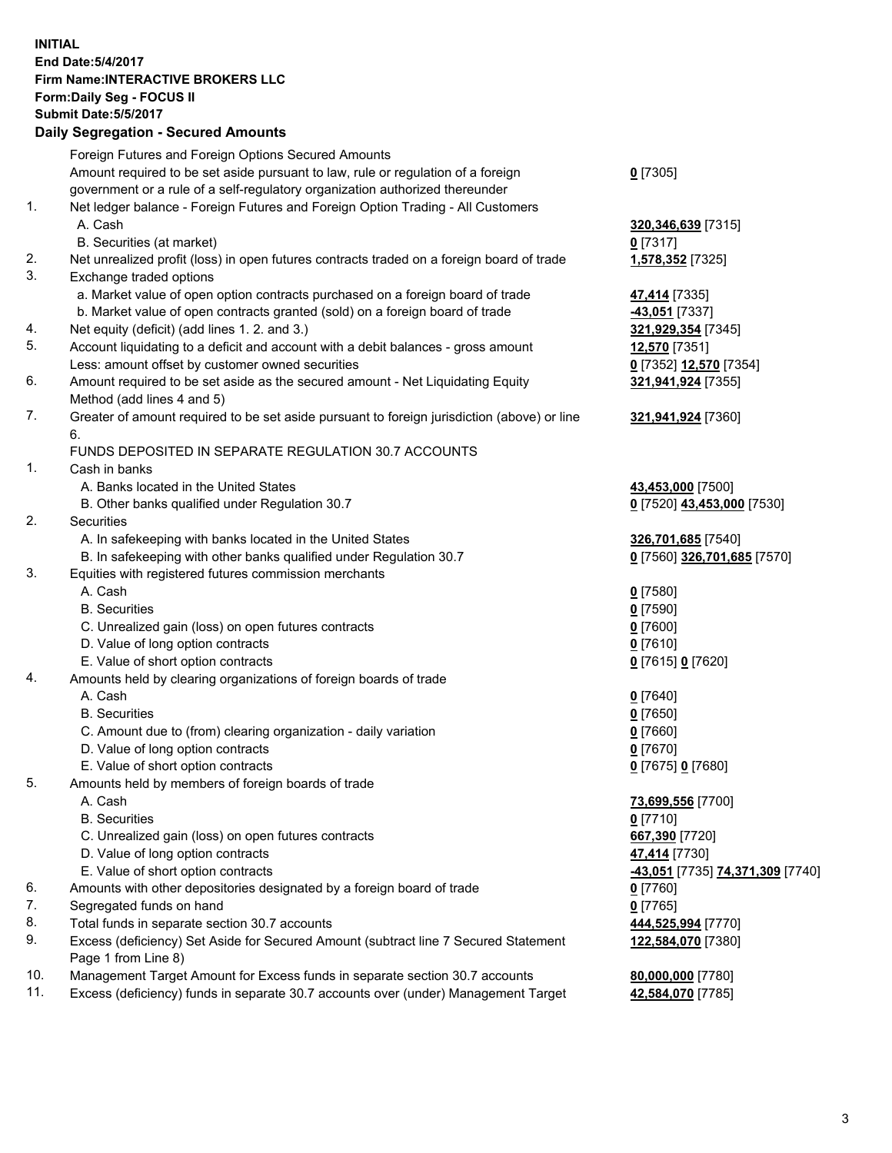## **INITIAL End Date:5/4/2017 Firm Name:INTERACTIVE BROKERS LLC Form:Daily Seg - FOCUS II Submit Date:5/5/2017 Daily Segregation - Secured Amounts**

|     | Dany Ocgregation - Oceanea Annoante                                                                        |                                  |
|-----|------------------------------------------------------------------------------------------------------------|----------------------------------|
|     | Foreign Futures and Foreign Options Secured Amounts                                                        |                                  |
|     | Amount required to be set aside pursuant to law, rule or regulation of a foreign                           | $0$ [7305]                       |
|     | government or a rule of a self-regulatory organization authorized thereunder                               |                                  |
| 1.  | Net ledger balance - Foreign Futures and Foreign Option Trading - All Customers                            |                                  |
|     | A. Cash                                                                                                    | 320, 346, 639 [7315]             |
|     | B. Securities (at market)                                                                                  | $0$ [7317]                       |
| 2.  | Net unrealized profit (loss) in open futures contracts traded on a foreign board of trade                  | 1,578,352 [7325]                 |
| 3.  | Exchange traded options                                                                                    |                                  |
|     | a. Market value of open option contracts purchased on a foreign board of trade                             | 47,414 [7335]                    |
|     | b. Market value of open contracts granted (sold) on a foreign board of trade                               | -43,051 [7337]                   |
| 4.  | Net equity (deficit) (add lines 1.2. and 3.)                                                               | 321,929,354 [7345]               |
| 5.  | Account liquidating to a deficit and account with a debit balances - gross amount                          | 12,570 [7351]                    |
|     | Less: amount offset by customer owned securities                                                           | 0 [7352] 12,570 [7354]           |
| 6.  | Amount required to be set aside as the secured amount - Net Liquidating Equity                             | 321,941,924 [7355]               |
|     | Method (add lines 4 and 5)                                                                                 |                                  |
| 7.  | Greater of amount required to be set aside pursuant to foreign jurisdiction (above) or line                | 321,941,924 [7360]               |
|     | 6.                                                                                                         |                                  |
|     | FUNDS DEPOSITED IN SEPARATE REGULATION 30.7 ACCOUNTS                                                       |                                  |
| 1.  | Cash in banks                                                                                              |                                  |
|     | A. Banks located in the United States                                                                      | 43,453,000 [7500]                |
|     | B. Other banks qualified under Regulation 30.7                                                             | 0 [7520] 43,453,000 [7530]       |
| 2.  | <b>Securities</b>                                                                                          |                                  |
|     | A. In safekeeping with banks located in the United States                                                  | 326,701,685 [7540]               |
|     | B. In safekeeping with other banks qualified under Regulation 30.7                                         | 0 [7560] 326,701,685 [7570]      |
| 3.  | Equities with registered futures commission merchants                                                      |                                  |
|     | A. Cash                                                                                                    | $0$ [7580]                       |
|     | <b>B.</b> Securities                                                                                       | $0$ [7590]                       |
|     | C. Unrealized gain (loss) on open futures contracts                                                        | $0$ [7600]                       |
|     | D. Value of long option contracts                                                                          | $0$ [7610]                       |
|     | E. Value of short option contracts                                                                         | 0 [7615] 0 [7620]                |
| 4.  | Amounts held by clearing organizations of foreign boards of trade                                          |                                  |
|     | A. Cash                                                                                                    | $0$ [7640]                       |
|     | <b>B.</b> Securities                                                                                       | $0$ [7650]                       |
|     | C. Amount due to (from) clearing organization - daily variation                                            | $0$ [7660]                       |
|     | D. Value of long option contracts                                                                          | $0$ [7670]                       |
|     | E. Value of short option contracts                                                                         | 0 [7675] 0 [7680]                |
| 5.  | Amounts held by members of foreign boards of trade                                                         |                                  |
|     | A. Cash                                                                                                    | 73,699,556 [7700]                |
|     | <b>B.</b> Securities                                                                                       | $0$ [7710]                       |
|     | C. Unrealized gain (loss) on open futures contracts                                                        | 667,390 [7720]                   |
|     | D. Value of long option contracts                                                                          | 47,414 [7730]                    |
|     | E. Value of short option contracts                                                                         | -43,051 [7735] 74,371,309 [7740] |
| 6.  | Amounts with other depositories designated by a foreign board of trade                                     | $0$ [7760]                       |
| 7.  | Segregated funds on hand                                                                                   | $0$ [7765]                       |
| 8.  | Total funds in separate section 30.7 accounts                                                              | 444,525,994 [7770]               |
| 9.  | Excess (deficiency) Set Aside for Secured Amount (subtract line 7 Secured Statement<br>Page 1 from Line 8) | 122,584,070 [7380]               |
| 10. | Management Target Amount for Excess funds in separate section 30.7 accounts                                | 80,000,000 [7780]                |
| 11. | Excess (deficiency) funds in separate 30.7 accounts over (under) Management Target                         | 42,584,070 [7785]                |
|     |                                                                                                            |                                  |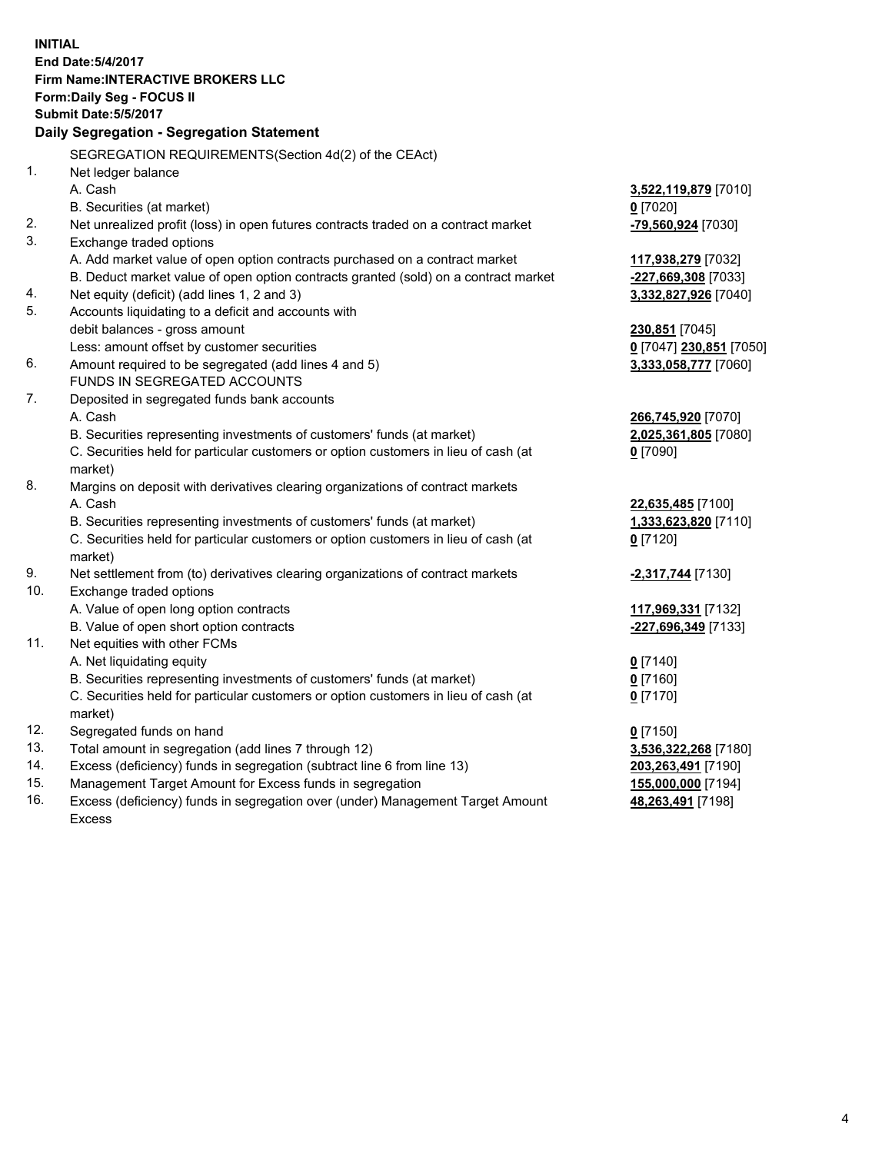**INITIAL End Date:5/4/2017 Firm Name:INTERACTIVE BROKERS LLC Form:Daily Seg - FOCUS II Submit Date:5/5/2017 Daily Segregation - Segregation Statement** SEGREGATION REQUIREMENTS(Section 4d(2) of the CEAct) 1. Net ledger balance A. Cash **3,522,119,879** [7010] B. Securities (at market) **0** [7020] 2. Net unrealized profit (loss) in open futures contracts traded on a contract market **-79,560,924** [7030] 3. Exchange traded options A. Add market value of open option contracts purchased on a contract market **117,938,279** [7032] B. Deduct market value of open option contracts granted (sold) on a contract market **-227,669,308** [7033] 4. Net equity (deficit) (add lines 1, 2 and 3) **3,332,827,926** [7040] 5. Accounts liquidating to a deficit and accounts with debit balances - gross amount **230,851** [7045] Less: amount offset by customer securities **0** [7047] **230,851** [7050] 6. Amount required to be segregated (add lines 4 and 5) **3,333,058,777** [7060] FUNDS IN SEGREGATED ACCOUNTS 7. Deposited in segregated funds bank accounts A. Cash **266,745,920** [7070] B. Securities representing investments of customers' funds (at market) **2,025,361,805** [7080] C. Securities held for particular customers or option customers in lieu of cash (at market) **0** [7090] 8. Margins on deposit with derivatives clearing organizations of contract markets A. Cash **22,635,485** [7100] B. Securities representing investments of customers' funds (at market) **1,333,623,820** [7110] C. Securities held for particular customers or option customers in lieu of cash (at market) **0** [7120] 9. Net settlement from (to) derivatives clearing organizations of contract markets **-2,317,744** [7130] 10. Exchange traded options A. Value of open long option contracts **117,969,331** [7132] B. Value of open short option contracts **-227,696,349** [7133] 11. Net equities with other FCMs A. Net liquidating equity **0** [7140] B. Securities representing investments of customers' funds (at market) **0** [7160] C. Securities held for particular customers or option customers in lieu of cash (at market) **0** [7170] 12. Segregated funds on hand **0** [7150] 13. Total amount in segregation (add lines 7 through 12) **3,536,322,268** [7180] 14. Excess (deficiency) funds in segregation (subtract line 6 from line 13) **203,263,491** [7190] 15. Management Target Amount for Excess funds in segregation **155,000,000** [7194] 16. Excess (deficiency) funds in segregation over (under) Management Target Amount **48,263,491** [7198]

Excess